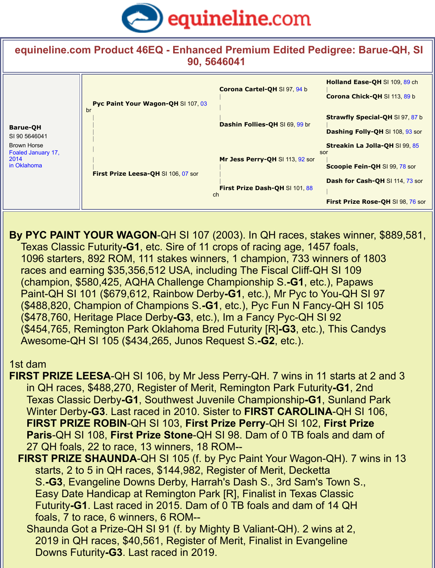## **equineline.com Prod[uct 46EQ - Enhanced Premium Edited Pe](http://www.equineline.com/)digree: Barue-QH, SI 90, 5646041**

| <b>Barue-QH</b><br>SI 90 5646041<br><b>Brown Horse</b><br>Foaled January 17,<br>2014<br>in Oklahoma | Pyc Paint Your Wagon-QH SI 107, 03<br>br<br>First Prize Leesa-QH SI 106, 07 sor | Corona Cartel-QH SI 97, 94 b    | <b>Holland Ease-QH SI 109</b><br><b>Corona Chick-QH SI 113</b><br><b>Strawfly Special-QH SI</b> |
|-----------------------------------------------------------------------------------------------------|---------------------------------------------------------------------------------|---------------------------------|-------------------------------------------------------------------------------------------------|
|                                                                                                     |                                                                                 | Dashin Follies-QH SI 69, 99 br  |                                                                                                 |
|                                                                                                     |                                                                                 |                                 | <b>Dashing Folly-QH SI 108</b>                                                                  |
|                                                                                                     |                                                                                 |                                 | <b>Streakin La Jolla-QH SI</b>                                                                  |
|                                                                                                     |                                                                                 | Mr Jess Perry-QH SI 113, 92 sor | sor                                                                                             |
|                                                                                                     |                                                                                 |                                 | <b>Scoopie Fein-QH SI 99,</b>                                                                   |
|                                                                                                     |                                                                                 | First Prize Dash-QH SI 101, 88  | Dash for Cash-QH SI 11                                                                          |
|                                                                                                     |                                                                                 |                                 |                                                                                                 |
|                                                                                                     |                                                                                 | ch                              | <b>First Prize Rose-QH SL</b>                                                                   |

**By PYC PAINT YOUR WAGON-QH SI 107 (2003). In QH races, stakes winner, \$889**  Texas Classic Futurity**-G1**, etc. Sire of 11 crops of racing age, 1457 foals, 1096 starters, 892 ROM, 111 stakes winners, 1 champion, 733 winners of 1803 races and earning \$35,356,512 USA, including The Fiscal Cliff-QH SI 109 (champion, \$580,425, AQHA Challenge Championship S.**-G1**, etc.), Papaws Paint-QH SI 101 (\$679,612, Rainbow Derby**-G1**, etc.), Mr Pyc to You-QH SI 97 (\$488,820, Champion of Champions S.**-G1**, etc.), Pyc Fun N Fancy-QH SI 105 (\$478,760, Heritage Place Derby**-G3**, etc.), Im a Fancy Pyc-QH SI 92 (\$454,765, Remington Park Oklahoma Bred Futurity [R]**-G3**, etc.), This Candys Awesome-QH SI 105 (\$434,265, Junos Request S.**-G2**, etc.).

## 1st dam

- **FIRST PRIZE LEESA-QH SI 106, by Mr Jess Perry-QH. 7 wins in 11 starts at 2 and 3**  in QH races, \$488,270, Register of Merit, Remington Park Futurity**-G1**, 2nd Texas Classic Derby**-G1**, Southwest Juvenile Championship**-G1**, Sunland Park Winter Derby**-G3**. Last raced in 2010. Sister to **FIRST CAROLINA**-QH SI 106, **FIRST PRIZE ROBIN**-QH SI 103, **First Prize Perry**-QH SI 102, **First Prize Paris**-QH SI 108, **First Prize Stone**-QH SI 98. Dam of 0 TB foals and dam of 27 QH foals, 22 to race, 13 winners, 18 ROM--
	- **FIRST PRIZE SHAUNDA-QH SI 105 (f. by Pyc Paint Your Wagon-QH). 7 wins in 1**  starts, 2 to 5 in QH races, \$144,982, Register of Merit, Decketta S.**-G3**, Evangeline Downs Derby, Harrah's Dash S., 3rd Sam's Town S., Easy Date Handicap at Remington Park [R], Finalist in Texas Classic Futurity**-G1**. Last raced in 2015. Dam of 0 TB foals and dam of 14 QH foals, 7 to race, 6 winners, 6 ROM--
		- Shaunda Got a Prize-QH SI 91 (f. by Mighty B Valiant-QH). 2 wins at 2, 2019 in QH races, \$40,561, Register of Merit, Finalist in Evangeline Downs Futurity**-G3**. Last raced in 2019.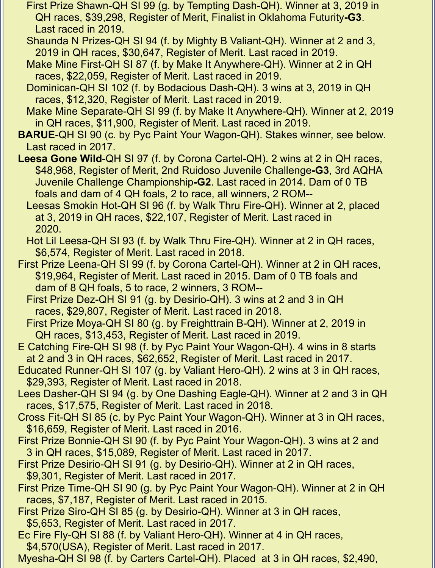- First Prize Shawn-QH SI 99 (g. by Tempting Dash-QH). Winner at 3, 2019 in QH races, \$39,298, Register of Merit, Finalist in Oklahoma Futurity**-G3**. Last raced in 2019.
- Shaunda N Prizes-QH SI 94 (f. by Mighty B Valiant-QH). Winner at 2 and 3, 2019 in QH races, \$30,647, Register of Merit. Last raced in 2019.
- Make Mine First-QH SI 87 (f. by Make It Anywhere-QH). Winner at 2 in QH races, \$22,059, Register of Merit. Last raced in 2019.
- Dominican-QH SI 102 (f. by Bodacious Dash-QH). 3 wins at 3, 2019 in QH races, \$12,320, Register of Merit. Last raced in 2019.
- Make Mine Separate-QH SI 99 (f. by Make It Anywhere-QH). Winner at 2, 2019 in QH races, \$11,900, Register of Merit. Last raced in 2019.
- **BARUE**-QH SI 90 (c. by Pyc Paint Your Wagon-QH). Stakes winner, see below. Last raced in 2017.
- **Leesa Gone Wild**-QH SI 97 (f. by Corona Cartel-QH). 2 wins at 2 in QH races, \$48,968, Register of Merit, 2nd Ruidoso Juvenile Challenge**-G3**, 3rd AQHA Juvenile Challenge Championship**-G2**. Last raced in 2014. Dam of 0 TB foals and dam of 4 QH foals, 2 to race, all winners, 2 ROM--
	- Leesas Smokin Hot-QH SI 96 (f. by Walk Thru Fire-QH). Winner at 2, placed at 3, 2019 in QH races, \$22,107, Register of Merit. Last raced in 2020.
	- Hot Lil Leesa-QH SI 93 (f. by Walk Thru Fire-QH). Winner at 2 in QH races, \$6,574, Register of Merit. Last raced in 2018.
- First Prize Leena-QH SI 99 (f. by Corona Cartel-QH). Winner at 2 in QH races, \$19,964, Register of Merit. Last raced in 2015. Dam of 0 TB foals and dam of 8 QH foals, 5 to race, 2 winners, 3 ROM--
	- First Prize Dez-QH SI 91 (g. by Desirio-QH). 3 wins at 2 and 3 in QH races, \$29,807, Register of Merit. Last raced in 2018.
	- First Prize Moya-QH SI 80 (g. by Freighttrain B-QH). Winner at 2, 2019 in QH races, \$13,453, Register of Merit. Last raced in 2019.
- E Catching Fire-QH SI 98 (f. by Pyc Paint Your Wagon-QH). 4 wins in 8 starts at 2 and 3 in QH races, \$62,652, Register of Merit. Last raced in 2017.
- Educated Runner-QH SI 107 (g. by Valiant Hero-QH). 2 wins at 3 in QH races, \$29,393, Register of Merit. Last raced in 2018.
- Lees Dasher-QH SI 94 (g. by One Dashing Eagle-QH). Winner at 2 and 3 in QH races, \$17,575, Register of Merit. Last raced in 2018.
- Cross Fit-QH SI 85 (c. by Pyc Paint Your Wagon-QH). Winner at 3 in QH races, \$16,659, Register of Merit. Last raced in 2016.
- First Prize Bonnie-QH SI 90 (f. by Pyc Paint Your Wagon-QH). 3 wins at 2 and 3 in QH races, \$15,089, Register of Merit. Last raced in 2017.
- First Prize Desirio-QH SI 91 (g. by Desirio-QH). Winner at 2 in QH races, \$9,301, Register of Merit. Last raced in 2017.
- First Prize Time-QH SI 90 (g. by Pyc Paint Your Wagon-QH). Winner at 2 in QH races, \$7,187, Register of Merit. Last raced in 2015.
- First Prize Siro-QH SI 85 (g. by Desirio-QH). Winner at 3 in QH races, \$5,653, Register of Merit. Last raced in 2017.
- Ec Fire Fly-QH SI 88 (f. by Valiant Hero-QH). Winner at 4 in QH races,
- \$4,570(USA), Register of Merit. Last raced in 2017.
- Myesha-QH SI 98 (f. by Carters Cartel-QH). Placed at 3 in QH races, \$2,490,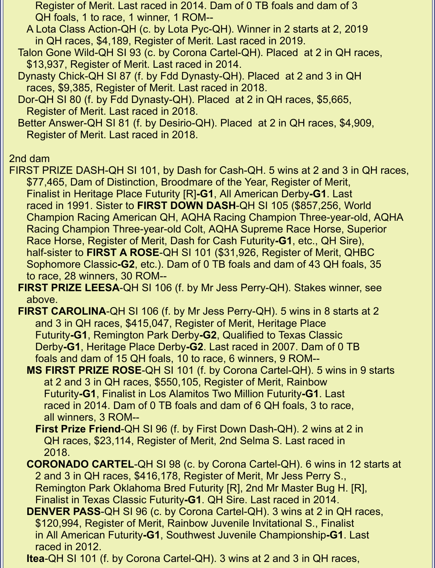Register of Merit. Last raced in 2014. Dam of 0 TB foals and dam of 3 QH foals, 1 to race, 1 winner, 1 ROM--

 A Lota Class Action-QH (c. by Lota Pyc-QH). Winner in 2 starts at 2, 2019 in QH races, \$4,189, Register of Merit. Last raced in 2019.

 Talon Gone Wild-QH SI 93 (c. by Corona Cartel-QH). Placed at 2 in QH races, \$13,937, Register of Merit. Last raced in 2014.

 Dynasty Chick-QH SI 87 (f. by Fdd Dynasty-QH). Placed at 2 and 3 in QH races, \$9,385, Register of Merit. Last raced in 2018.

 Dor-QH SI 80 (f. by Fdd Dynasty-QH). Placed at 2 in QH races, \$5,665, Register of Merit. Last raced in 2018.

 Better Answer-QH SI 81 (f. by Desirio-QH). Placed at 2 in QH races, \$4,909, Register of Merit. Last raced in 2018.

## 2nd dam

FIRST PRIZE DASH-QH SI 101, by Dash for Cash-QH. 5 wins at 2 and 3 in QH races, \$77,465, Dam of Distinction, Broodmare of the Year, Register of Merit, Finalist in Heritage Place Futurity [R]**-G1**, All American Derby**-G1**. Last raced in 1991. Sister to **FIRST DOWN DASH**-QH SI 105 (\$857,256, World Champion Racing American QH, AQHA Racing Champion Three-year-old, AQHA Racing Champion Three-year-old Colt, AQHA Supreme Race Horse, Superior Race Horse, Register of Merit, Dash for Cash Futurity**-G1**, etc., QH Sire), half-sister to **FIRST A ROSE**-QH SI 101 (\$31,926, Register of Merit, QHBC Sophomore Classic**-G2**, etc.). Dam of 0 TB foals and dam of 43 QH foals, 35 to race, 28 winners, 30 ROM--

 **FIRST PRIZE LEESA**-QH SI 106 (f. by Mr Jess Perry-QH). Stakes winner, see above.

**FIRST CAROLINA-QH SI 106 (f. by Mr Jess Perry-QH). 5 wins in 8 starts at 2**  and 3 in QH races, \$415,047, Register of Merit, Heritage Place Futurity**-G1**, Remington Park Derby**-G2**, Qualified to Texas Classic Derby**-G1**, Heritage Place Derby**-G2**. Last raced in 2007. Dam of 0 TB foals and dam of 15 QH foals, 10 to race, 6 winners, 9 ROM--

 **MS FIRST PRIZE ROSE**-QH SI 101 (f. by Corona Cartel-QH). 5 wins in 9 starts at 2 and 3 in QH races, \$550,105, Register of Merit, Rainbow Futurity**-G1**, Finalist in Los Alamitos Two Million Futurity**-G1**. Last raced in 2014. Dam of 0 TB foals and dam of 6 QH foals, 3 to race, all winners, 3 ROM--

 **First Prize Friend**-QH SI 96 (f. by First Down Dash-QH). 2 wins at 2 in QH races, \$23,114, Register of Merit, 2nd Selma S. Last raced in 2018.

 **CORONADO CARTEL**-QH SI 98 (c. by Corona Cartel-QH). 6 wins in 12 starts at 2 and 3 in QH races, \$416,178, Register of Merit, Mr Jess Perry S., Remington Park Oklahoma Bred Futurity [R], 2nd Mr Master Bug H. [R], Finalist in Texas Classic Futurity**-G1**. QH Sire. Last raced in 2014.

 **DENVER PASS**-QH SI 96 (c. by Corona Cartel-QH). 3 wins at 2 in QH races, \$120,994, Register of Merit, Rainbow Juvenile Invitational S., Finalist in All American Futurity**-G1**, Southwest Juvenile Championship**-G1**. Last raced in 2012.

**Itea**-QH SI 101 (f. by Corona Cartel-QH). 3 wins at 2 and 3 in QH races,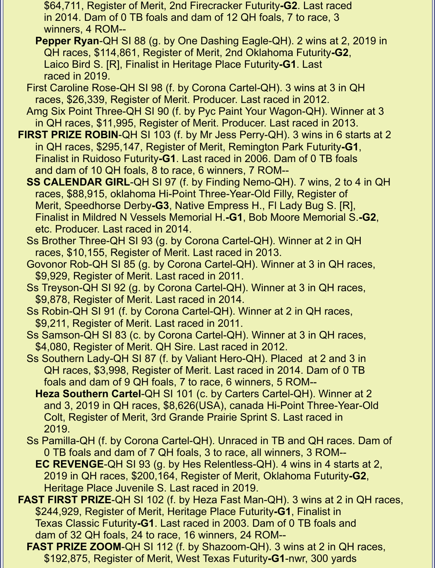\$64,711, Register of Merit, 2nd Firecracker Futurity**-G2**. Last raced in 2014. Dam of 0 TB foals and dam of 12 QH foals, 7 to race, 3 winners, 4 ROM--

- **Pepper Ryan**-QH SI 88 (g. by One Dashing Eagle-QH). 2 wins at 2, 2019 in QH races, \$114,861, Register of Merit, 2nd Oklahoma Futurity**-G2**, Laico Bird S. [R], Finalist in Heritage Place Futurity**-G1**. Last raced in 2019.
- First Caroline Rose-QH SI 98 (f. by Corona Cartel-QH). 3 wins at 3 in QH races, \$26,339, Register of Merit. Producer. Last raced in 2012.
- Amg Six Point Three-QH SI 90 (f. by Pyc Paint Your Wagon-QH). Winner at 3 in QH races, \$11,995, Register of Merit. Producer. Last raced in 2013.
- **FIRST PRIZE ROBIN-QH SI 103 (f. by Mr Jess Perry-QH). 3 wins in 6 starts at 2**  in QH races, \$295,147, Register of Merit, Remington Park Futurity**-G1**, Finalist in Ruidoso Futurity**-G1**. Last raced in 2006. Dam of 0 TB foals and dam of 10 QH foals, 8 to race, 6 winners, 7 ROM--
	- **SS CALENDAR GIRL**-QH SI 97 (f. by Finding Nemo-QH). 7 wins, 2 to 4 in QH races, \$88,915, oklahoma Hi-Point Three-Year-Old Filly, Register of Merit, Speedhorse Derby**-G3**, Native Empress H., Fl Lady Bug S. [R], Finalist in Mildred N Vessels Memorial H.**-G1**, Bob Moore Memorial S.**-G2**, etc. Producer. Last raced in 2014.
	- Ss Brother Three-QH SI 93 (g. by Corona Cartel-QH). Winner at 2 in QH races, \$10,155, Register of Merit. Last raced in 2013.
	- Govonor Rob-QH SI 85 (g. by Corona Cartel-QH). Winner at 3 in QH races, \$9,929, Register of Merit. Last raced in 2011.
	- Ss Treyson-QH SI 92 (g. by Corona Cartel-QH). Winner at 3 in QH races, \$9,878, Register of Merit. Last raced in 2014.
	- Ss Robin-QH SI 91 (f. by Corona Cartel-QH). Winner at 2 in QH races, \$9,211, Register of Merit. Last raced in 2011.
	- Ss Samson-QH SI 83 (c. by Corona Cartel-QH). Winner at 3 in QH races, \$4,080, Register of Merit. QH Sire. Last raced in 2012.
	- Ss Southern Lady-QH SI 87 (f. by Valiant Hero-QH). Placed at 2 and 3 in QH races, \$3,998, Register of Merit. Last raced in 2014. Dam of 0 TB foals and dam of 9 QH foals, 7 to race, 6 winners, 5 ROM--
		- **Heza Southern Cartel**-QH SI 101 (c. by Carters Cartel-QH). Winner at 2 and 3, 2019 in QH races, \$8,626(USA), canada Hi-Point Three-Year-Old Colt, Register of Merit, 3rd Grande Prairie Sprint S. Last raced in 2019.
	- Ss Pamilla-QH (f. by Corona Cartel-QH). Unraced in TB and QH races. Dam of 0 TB foals and dam of 7 QH foals, 3 to race, all winners, 3 ROM--
		- **EC REVENGE**-QH SI 93 (g. by Hes Relentless-QH). 4 wins in 4 starts at 2, 2019 in QH races, \$200,164, Register of Merit, Oklahoma Futurity**-G2**, Heritage Place Juvenile S. Last raced in 2019.
- **FAST FIRST PRIZE**-QH SI 102 (f. by Heza Fast Man-QH). 3 wins at 2 in QH races, \$244,929, Register of Merit, Heritage Place Futurity**-G1**, Finalist in Texas Classic Futurity**-G1**. Last raced in 2003. Dam of 0 TB foals and dam of 32 QH foals, 24 to race, 16 winners, 24 ROM--
	- **FAST PRIZE ZOOM**-QH SI 112 (f. by Shazoom-QH). 3 wins at 2 in QH races, \$192,875, Register of Merit, West Texas Futurity**-G1**-nwr, 300 yards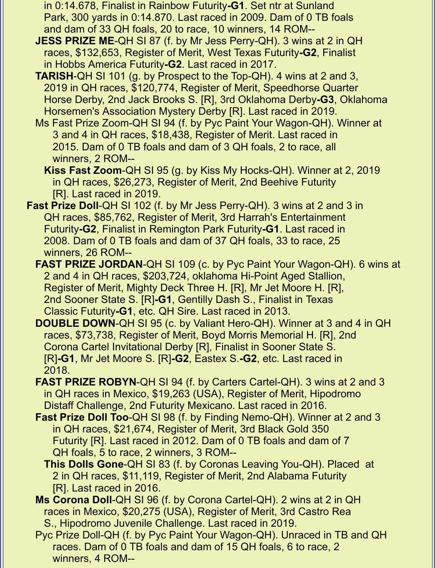- in 0:14.678, Finalist in Rainbow Futurity**-G1**. Set ntr at Sunland Park, 300 yards in 0:14.870. Last raced in 2009. Dam of 0 TB foals and dam of 33 QH foals, 20 to race, 10 winners, 14 ROM--
- **JESS PRIZE ME**-QH SI 87 (f. by Mr Jess Perry-QH). 3 wins at 2 in QH races, \$132,653, Register of Merit, West Texas Futurity**-G2**, Finalist in Hobbs America Futurity**-G2**. Last raced in 2017.
- **TARISH**-QH SI 101 (g. by Prospect to the Top-QH). 4 wins at 2 and 3, 2019 in QH races, \$120,774, Register of Merit, Speedhorse Quarter Horse Derby, 2nd Jack Brooks S. [R], 3rd Oklahoma Derby**-G3**, Oklahoma Horsemen's Association Mystery Derby [R]. Last raced in 2019.
- Ms Fast Prize Zoom-QH SI 94 (f. by Pyc Paint Your Wagon-QH). Winner at 3 and 4 in QH races, \$18,438, Register of Merit. Last raced in 2015. Dam of 0 TB foals and dam of 3 QH foals, 2 to race, all winners, 2 ROM--
	- **Kiss Fast Zoom**-QH SI 95 (g. by Kiss My Hocks-QH). Winner at 2, 2019 in QH races, \$26,273, Register of Merit, 2nd Beehive Futurity [R]. Last raced in 2019.
- **Fast Prize Doll-QH SI 102 (f. by Mr Jess Perry-QH). 3 wins at 2 and 3 in**  QH races, \$85,762, Register of Merit, 3rd Harrah's Entertainment Futurity**-G2**, Finalist in Remington Park Futurity**-G1**. Last raced in 2008. Dam of 0 TB foals and dam of 37 QH foals, 33 to race, 25 winners, 26 ROM--
	- **FAST PRIZE JORDAN**-QH SI 109 (c. by Pyc Paint Your Wagon-QH). 6 wins at 2 and 4 in QH races, \$203,724, oklahoma Hi-Point Aged Stallion, Register of Merit, Mighty Deck Three H. [R], Mr Jet Moore H. [R], 2nd Sooner State S. [R]**-G1**, Gentilly Dash S., Finalist in Texas Classic Futurity**-G1**, etc. QH Sire. Last raced in 2013.
	- **DOUBLE DOWN**-QH SI 95 (c. by Valiant Hero-QH). Winner at 3 and 4 in QH races, \$73,738, Register of Merit, Boyd Morris Memorial H. [R], 2nd Corona Cartel Invitational Derby [R], Finalist in Sooner State S. [R]**-G1**, Mr Jet Moore S. [R]**-G2**, Eastex S.**-G2**, etc. Last raced in 2018.
	- **FAST PRIZE ROBYN**-QH SI 94 (f. by Carters Cartel-QH). 3 wins at 2 and 3 in QH races in Mexico, \$19,263 (USA), Register of Merit, Hipodromo Distaff Challenge, 2nd Futurity Mexicano. Last raced in 2016.
	- **Fast Prize Doll Too**-QH SI 98 (f. by Finding Nemo-QH). Winner at 2 and 3 in QH races, \$21,674, Register of Merit, 3rd Black Gold 350 Futurity [R]. Last raced in 2012. Dam of 0 TB foals and dam of 7 QH foals, 5 to race, 2 winners, 3 ROM--
		- **This Dolls Gone**-QH SI 83 (f. by Coronas Leaving You-QH). Placed at 2 in QH races, \$11,119, Register of Merit, 2nd Alabama Futurity [R]. Last raced in 2016.
	- **Ms Corona Doll**-QH SI 96 (f. by Corona Cartel-QH). 2 wins at 2 in QH races in Mexico, \$20,275 (USA), Register of Merit, 3rd Castro Rea S., Hipodromo Juvenile Challenge. Last raced in 2019.
	- Pyc Prize Doll-QH (f. by Pyc Paint Your Wagon-QH). Unraced in TB and QH races. Dam of 0 TB foals and dam of 15 QH foals, 6 to race, 2 winners, 4 ROM--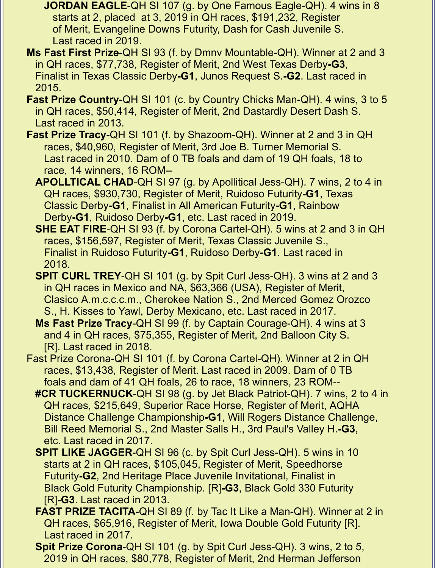- **JORDAN EAGLE**-QH SI 107 (g. by One Famous Eagle-QH). 4 wins in 8 starts at 2, placed at 3, 2019 in QH races, \$191,232, Register of Merit, Evangeline Downs Futurity, Dash for Cash Juvenile S. Last raced in 2019.
- **Ms Fast First Prize**-QH SI 93 (f. by Dmnv Mountable-QH). Winner at 2 and 3 in QH races, \$77,738, Register of Merit, 2nd West Texas Derby**-G3**, Finalist in Texas Classic Derby**-G1**, Junos Request S.**-G2**. Last raced in 2015.
- **Fast Prize Country-QH SI 101 (c. by Country Chicks Man-QH). 4 wins, 3 to 5**  in QH races, \$50,414, Register of Merit, 2nd Dastardly Desert Dash S. Last raced in 2013.
- **Fast Prize Tracy**-QH SI 101 (f. by Shazoom-QH). Winner at 2 and 3 in QH races, \$40,960, Register of Merit, 3rd Joe B. Turner Memorial S. Last raced in 2010. Dam of 0 TB foals and dam of 19 QH foals, 18 to race, 14 winners, 16 ROM--
	- **APOLLTICAL CHAD**-QH SI 97 (g. by Apollitical Jess-QH). 7 wins, 2 to 4 in QH races, \$930,730, Register of Merit, Ruidoso Futurity**-G1**, Texas Classic Derby**-G1**, Finalist in All American Futurity**-G1**, Rainbow Derby**-G1**, Ruidoso Derby**-G1**, etc. Last raced in 2019.
	- **SHE EAT FIRE**-QH SI 93 (f. by Corona Cartel-QH). 5 wins at 2 and 3 in QH races, \$156,597, Register of Merit, Texas Classic Juvenile S., Finalist in Ruidoso Futurity**-G1**, Ruidoso Derby**-G1**. Last raced in 2018.
	- **SPIT CURL TREY**-QH SI 101 (g. by Spit Curl Jess-QH). 3 wins at 2 and 3 in QH races in Mexico and NA, \$63,366 (USA), Register of Merit, Clasico A.m.c.c.c.m., Cherokee Nation S., 2nd Merced Gomez Orozco S., H. Kisses to Yawl, Derby Mexicano, etc. Last raced in 2017.
	- **Ms Fast Prize Tracy**-QH SI 99 (f. by Captain Courage-QH). 4 wins at 3 and 4 in QH races, \$75,355, Register of Merit, 2nd Balloon City S. [R]. Last raced in 2018.
- Fast Prize Corona-QH SI 101 (f. by Corona Cartel-QH). Winner at 2 in QH races, \$13,438, Register of Merit. Last raced in 2009. Dam of 0 TB foals and dam of 41 QH foals, 26 to race, 18 winners, 23 ROM--
	- **#CR TUCKERNUCK**-QH SI 98 (g. by Jet Black Patriot-QH). 7 wins, 2 to 4 in QH races, \$215,649, Superior Race Horse, Register of Merit, AQHA Distance Challenge Championship**-G1**, Will Rogers Distance Challenge, Bill Reed Memorial S., 2nd Master Salls H., 3rd Paul's Valley H.**-G3**, etc. Last raced in 2017.
	- **SPIT LIKE JAGGER**-QH SI 96 (c. by Spit Curl Jess-QH). 5 wins in 10 starts at 2 in QH races, \$105,045, Register of Merit, Speedhorse Futurity**-G2**, 2nd Heritage Place Juvenile Invitational, Finalist in Black Gold Futurity Championship. [R]**-G3**, Black Gold 330 Futurity [R]**-G3**. Last raced in 2013.
	- **FAST PRIZE TACITA-QH SI 89 (f. by Tac It Like a Man-QH). Winner at 2 in**  QH races, \$65,916, Register of Merit, Iowa Double Gold Futurity [R]. Last raced in 2017.
	- **Spit Prize Corona**-QH SI 101 (g. by Spit Curl Jess-QH). 3 wins, 2 to 5, 2019 in QH races, \$80,778, Register of Merit, 2nd Herman Jefferson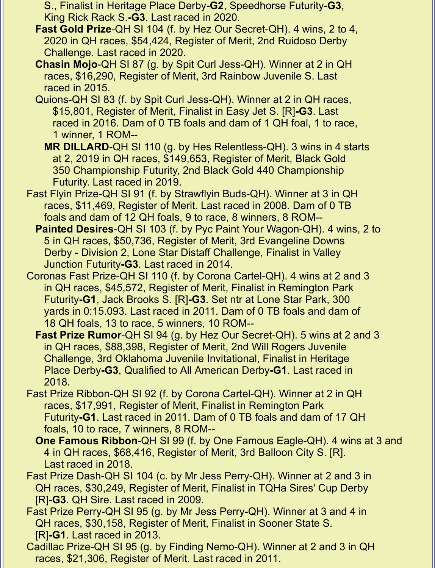S., Finalist in Heritage Place Derby**-G2**, Speedhorse Futurity**-G3**, King Rick Rack S.**-G3**. Last raced in 2020.

- **Fast Gold Prize**-QH SI 104 (f. by Hez Our Secret-QH). 4 wins, 2 to 4, 2020 in QH races, \$54,424, Register of Merit, 2nd Ruidoso Derby Challenge. Last raced in 2020.
- **Chasin Mojo**-QH SI 87 (g. by Spit Curl Jess-QH). Winner at 2 in QH races, \$16,290, Register of Merit, 3rd Rainbow Juvenile S. Last raced in 2015.
- Quions-QH SI 83 (f. by Spit Curl Jess-QH). Winner at 2 in QH races, \$15,801, Register of Merit, Finalist in Easy Jet S. [R]**-G3**. Last raced in 2016. Dam of 0 TB foals and dam of 1 QH foal, 1 to race, 1 winner, 1 ROM--
	- **MR DILLARD**-QH SI 110 (g. by Hes Relentless-QH). 3 wins in 4 starts at 2, 2019 in QH races, \$149,653, Register of Merit, Black Gold 350 Championship Futurity, 2nd Black Gold 440 Championship Futurity. Last raced in 2019.
- Fast Flyin Prize-QH SI 91 (f. by Strawflyin Buds-QH). Winner at 3 in QH races, \$11,469, Register of Merit. Last raced in 2008. Dam of 0 TB foals and dam of 12 QH foals, 9 to race, 8 winners, 8 ROM--
	- **Painted Desires**-QH SI 103 (f. by Pyc Paint Your Wagon-QH). 4 wins, 2 to 5 in QH races, \$50,736, Register of Merit, 3rd Evangeline Downs Derby - Division 2, Lone Star Distaff Challenge, Finalist in Valley Junction Futurity**-G3**. Last raced in 2014.
- Coronas Fast Prize-QH SI 110 (f. by Corona Cartel-QH). 4 wins at 2 and 3 in QH races, \$45,572, Register of Merit, Finalist in Remington Park Futurity**-G1**, Jack Brooks S. [R]**-G3**. Set ntr at Lone Star Park, 300 yards in 0:15.093. Last raced in 2011. Dam of 0 TB foals and dam of 18 QH foals, 13 to race, 5 winners, 10 ROM--
	- **Fast Prize Rumor**-QH SI 94 (g. by Hez Our Secret-QH). 5 wins at 2 and 3 in QH races, \$88,398, Register of Merit, 2nd Will Rogers Juvenile Challenge, 3rd Oklahoma Juvenile Invitational, Finalist in Heritage Place Derby**-G3**, Qualified to All American Derby**-G1**. Last raced in 2018.
- Fast Prize Ribbon-QH SI 92 (f. by Corona Cartel-QH). Winner at 2 in QH races, \$17,991, Register of Merit, Finalist in Remington Park Futurity**-G1**. Last raced in 2011. Dam of 0 TB foals and dam of 17 QH foals, 10 to race, 7 winners, 8 ROM--
	- **One Famous Ribbon**-QH SI 99 (f. by One Famous Eagle-QH). 4 wins at 3 and 4 in QH races, \$68,416, Register of Merit, 3rd Balloon City S. [R]. Last raced in 2018.
- Fast Prize Dash-QH SI 104 (c. by Mr Jess Perry-QH). Winner at 2 and 3 in QH races, \$30,249, Register of Merit, Finalist in TQHa Sires' Cup Derby [R]**-G3**. QH Sire. Last raced in 2009.
- Fast Prize Perry-QH SI 95 (g. by Mr Jess Perry-QH). Winner at 3 and 4 in QH races, \$30,158, Register of Merit, Finalist in Sooner State S. [R]**-G1**. Last raced in 2013.
- Cadillac Prize-QH SI 95 (g. by Finding Nemo-QH). Winner at 2 and 3 in QH races, \$21,306, Register of Merit. Last raced in 2011.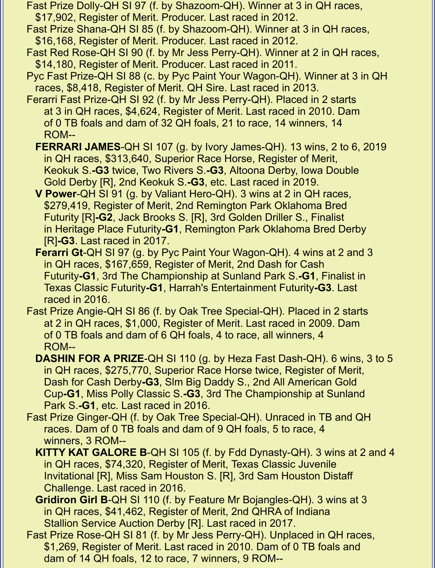- Fast Prize Dolly-QH SI 97 (f. by Shazoom-QH). Winner at 3 in QH races, \$17,902, Register of Merit. Producer. Last raced in 2012.
- Fast Prize Shana-QH SI 85 (f. by Shazoom-QH). Winner at 3 in QH races, \$16,168, Register of Merit. Producer. Last raced in 2012.
- Fast Red Rose-QH SI 90 (f. by Mr Jess Perry-QH). Winner at 2 in QH races, \$14,180, Register of Merit. Producer. Last raced in 2011.
- Pyc Fast Prize-QH SI 88 (c. by Pyc Paint Your Wagon-QH). Winner at 3 in QH races, \$8,418, Register of Merit. QH Sire. Last raced in 2013.
- Ferarri Fast Prize-QH SI 92 (f. by Mr Jess Perry-QH). Placed in 2 starts at 3 in QH races, \$4,624, Register of Merit. Last raced in 2010. Dam of 0 TB foals and dam of 32 QH foals, 21 to race, 14 winners, 14 ROM--
	- **FERRARI JAMES**-QH SI 107 (g. by Ivory James-QH). 13 wins, 2 to 6, 2019 in QH races, \$313,640, Superior Race Horse, Register of Merit, Keokuk S.**-G3** twice, Two Rivers S.**-G3**, Altoona Derby, Iowa Double Gold Derby [R], 2nd Keokuk S.**-G3**, etc. Last raced in 2019.
	- **V Power**-QH SI 91 (g. by Valiant Hero-QH). 3 wins at 2 in QH races, \$279,419, Register of Merit, 2nd Remington Park Oklahoma Bred Futurity [R]**-G2**, Jack Brooks S. [R], 3rd Golden Driller S., Finalist in Heritage Place Futurity**-G1**, Remington Park Oklahoma Bred Derby [R]**-G3**. Last raced in 2017.
	- **Ferarri Gt**-QH SI 97 (g. by Pyc Paint Your Wagon-QH). 4 wins at 2 and 3 in QH races, \$167,659, Register of Merit, 2nd Dash for Cash Futurity**-G1**, 3rd The Championship at Sunland Park S.**-G1**, Finalist in Texas Classic Futurity**-G1**, Harrah's Entertainment Futurity**-G3**. Last raced in 2016.
- Fast Prize Angie-QH SI 86 (f. by Oak Tree Special-QH). Placed in 2 starts at 2 in QH races, \$1,000, Register of Merit. Last raced in 2009. Dam of 0 TB foals and dam of 6 QH foals, 4 to race, all winners, 4 ROM--
	- **DASHIN FOR A PRIZE**-QH SI 110 (g. by Heza Fast Dash-QH). 6 wins, 3 to 5 in QH races, \$275,770, Superior Race Horse twice, Register of Merit, Dash for Cash Derby**-G3**, Slm Big Daddy S., 2nd All American Gold Cup**-G1**, Miss Polly Classic S.**-G3**, 3rd The Championship at Sunland Park S.**-G1**, etc. Last raced in 2016.
- Fast Prize Ginger-QH (f. by Oak Tree Special-QH). Unraced in TB and QH races. Dam of 0 TB foals and dam of 9 QH foals, 5 to race, 4 winners, 3 ROM--
	- **KITTY KAT GALORE B**-QH SI 105 (f. by Fdd Dynasty-QH). 3 wins at 2 and 4 in QH races, \$74,320, Register of Merit, Texas Classic Juvenile Invitational [R], Miss Sam Houston S. [R], 3rd Sam Houston Distaff Challenge. Last raced in 2016.
	- **Gridiron Girl B**-QH SI 110 (f. by Feature Mr Bojangles-QH). 3 wins at 3 in QH races, \$41,462, Register of Merit, 2nd QHRA of Indiana Stallion Service Auction Derby [R]. Last raced in 2017.
- Fast Prize Rose-QH SI 81 (f. by Mr Jess Perry-QH). Unplaced in QH races, \$1,269, Register of Merit. Last raced in 2010. Dam of 0 TB foals and dam of 14 QH foals, 12 to race, 7 winners, 9 ROM--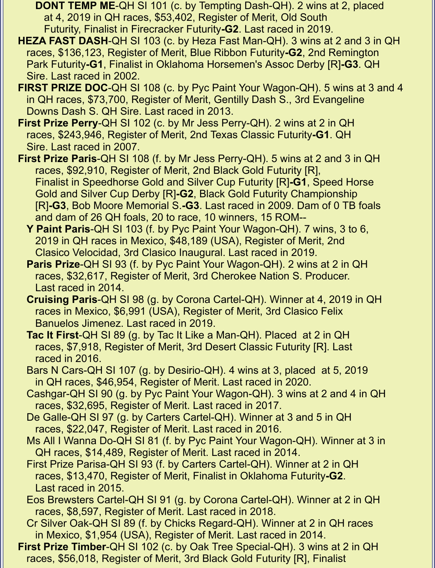- **DONT TEMP ME**-QH SI 101 (c. by Tempting Dash-QH). 2 wins at 2, placed at 4, 2019 in QH races, \$53,402, Register of Merit, Old South Futurity, Finalist in Firecracker Futurity**-G2**. Last raced in 2019.
- **HEZA FAST DASH**-QH SI 103 (c. by Heza Fast Man-QH). 3 wins at 2 and 3 in QH races, \$136,123, Register of Merit, Blue Ribbon Futurity**-G2**, 2nd Remington Park Futurity**-G1**, Finalist in Oklahoma Horsemen's Assoc Derby [R]**-G3**. QH Sire. Last raced in 2002.
- **FIRST PRIZE DOC**-QH SI 108 (c. by Pyc Paint Your Wagon-QH). 5 wins at 3 and 4 in QH races, \$73,700, Register of Merit, Gentilly Dash S., 3rd Evangeline Downs Dash S. QH Sire. Last raced in 2013.
- **First Prize Perry**-QH SI 102 (c. by Mr Jess Perry-QH). 2 wins at 2 in QH races, \$243,946, Register of Merit, 2nd Texas Classic Futurity**-G1**. QH Sire. Last raced in 2007.
- **First Prize Paris**-QH SI 108 (f. by Mr Jess Perry-QH). 5 wins at 2 and 3 in QH races, \$92,910, Register of Merit, 2nd Black Gold Futurity [R], Finalist in Speedhorse Gold and Silver Cup Futurity [R]**-G1**, Speed Horse Gold and Silver Cup Derby [R]**-G2**, Black Gold Futurity Championship [R]**-G3**, Bob Moore Memorial S.**-G3**. Last raced in 2009. Dam of 0 TB foals and dam of 26 QH foals, 20 to race, 10 winners, 15 ROM--
	- **Y Paint Paris**-QH SI 103 (f. by Pyc Paint Your Wagon-QH). 7 wins, 3 to 6, 2019 in QH races in Mexico, \$48,189 (USA), Register of Merit, 2nd Clasico Velocidad, 3rd Clasico Inaugural. Last raced in 2019.
	- **Paris Prize**-QH SI 93 (f. by Pyc Paint Your Wagon-QH). 2 wins at 2 in QH races, \$32,617, Register of Merit, 3rd Cherokee Nation S. Producer. Last raced in 2014.
	- **Cruising Paris**-QH SI 98 (g. by Corona Cartel-QH). Winner at 4, 2019 in QH races in Mexico, \$6,991 (USA), Register of Merit, 3rd Clasico Felix Banuelos Jimenez. Last raced in 2019.
	- **Tac It First**-QH SI 89 (g. by Tac It Like a Man-QH). Placed at 2 in QH races, \$7,918, Register of Merit, 3rd Desert Classic Futurity [R]. Last raced in 2016.
	- Bars N Cars-QH SI 107 (g. by Desirio-QH). 4 wins at 3, placed at 5, 2019 in QH races, \$46,954, Register of Merit. Last raced in 2020.
	- Cashgar-QH SI 90 (g. by Pyc Paint Your Wagon-QH). 3 wins at 2 and 4 in QH races, \$32,695, Register of Merit. Last raced in 2017.
	- De Galle-QH SI 97 (g. by Carters Cartel-QH). Winner at 3 and 5 in QH races, \$22,047, Register of Merit. Last raced in 2016.
	- Ms All I Wanna Do-QH SI 81 (f. by Pyc Paint Your Wagon-QH). Winner at 3 in QH races, \$14,489, Register of Merit. Last raced in 2014.
	- First Prize Parisa-QH SI 93 (f. by Carters Cartel-QH). Winner at 2 in QH races, \$13,470, Register of Merit, Finalist in Oklahoma Futurity**-G2**. Last raced in 2015.
	- Eos Brewsters Cartel-QH SI 91 (g. by Corona Cartel-QH). Winner at 2 in QH races, \$8,597, Register of Merit. Last raced in 2018.
	- Cr Silver Oak-QH SI 89 (f. by Chicks Regard-QH). Winner at 2 in QH races in Mexico, \$1,954 (USA), Register of Merit. Last raced in 2014.
- **First Prize Timber**-QH SI 102 (c. by Oak Tree Special-QH). 3 wins at 2 in QH races, \$56,018, Register of Merit, 3rd Black Gold Futurity [R], Finalist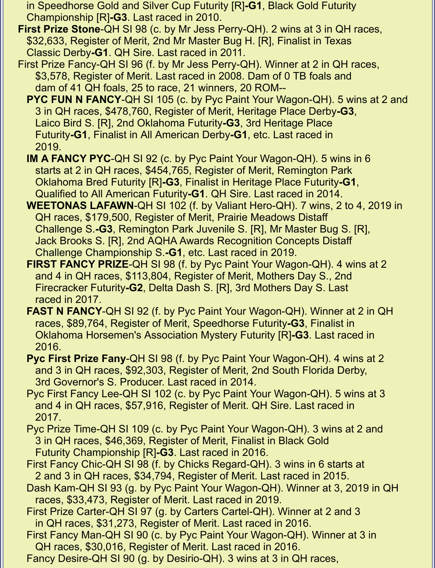in Speedhorse Gold and Silver Cup Futurity [R]**-G1**, Black Gold Futurity Championship [R]**-G3**. Last raced in 2010.

 **First Prize Stone**-QH SI 98 (c. by Mr Jess Perry-QH). 2 wins at 3 in QH races, \$32,633, Register of Merit, 2nd Mr Master Bug H. [R], Finalist in Texas Classic Derby**-G1**. QH Sire. Last raced in 2011.

 First Prize Fancy-QH SI 96 (f. by Mr Jess Perry-QH). Winner at 2 in QH races, \$3,578, Register of Merit. Last raced in 2008. Dam of 0 TB foals and dam of 41 QH foals, 25 to race, 21 winners, 20 ROM--

**PYC FUN N FANCY-QH SI 105 (c. by Pyc Paint Your Wagon-QH). 5 wins at 2 and**  3 in QH races, \$478,760, Register of Merit, Heritage Place Derby**-G3**, Laico Bird S. [R], 2nd Oklahoma Futurity**-G3**, 3rd Heritage Place Futurity**-G1**, Finalist in All American Derby**-G1**, etc. Last raced in 2019.

 **IM A FANCY PYC**-QH SI 92 (c. by Pyc Paint Your Wagon-QH). 5 wins in 6 starts at 2 in QH races, \$454,765, Register of Merit, Remington Park Oklahoma Bred Futurity [R]**-G3**, Finalist in Heritage Place Futurity**-G1**, Qualified to All American Futurity**-G1**. QH Sire. Last raced in 2014.

- **WEETONAS LAFAWN**-QH SI 102 (f. by Valiant Hero-QH). 7 wins, 2 to 4, 2019 in QH races, \$179,500, Register of Merit, Prairie Meadows Distaff Challenge S.**-G3**, Remington Park Juvenile S. [R], Mr Master Bug S. [R], Jack Brooks S. [R], 2nd AQHA Awards Recognition Concepts Distaff Challenge Championship S.**-G1**, etc. Last raced in 2019.
- **FIRST FANCY PRIZE**-QH SI 98 (f. by Pyc Paint Your Wagon-QH). 4 wins at 2 and 4 in QH races, \$113,804, Register of Merit, Mothers Day S., 2nd Firecracker Futurity**-G2**, Delta Dash S. [R], 3rd Mothers Day S. Last raced in 2017.
- **FAST N FANCY**-QH SI 92 (f. by Pyc Paint Your Wagon-QH). Winner at 2 in QH races, \$89,764, Register of Merit, Speedhorse Futurity**-G3**, Finalist in Oklahoma Horsemen's Association Mystery Futurity [R]**-G3**. Last raced in 2016.
- **Pyc First Prize Fany**-QH SI 98 (f. by Pyc Paint Your Wagon-QH). 4 wins at 2 and 3 in QH races, \$92,303, Register of Merit, 2nd South Florida Derby, 3rd Governor's S. Producer. Last raced in 2014.
- Pyc First Fancy Lee-QH SI 102 (c. by Pyc Paint Your Wagon-QH). 5 wins at 3 and 4 in QH races, \$57,916, Register of Merit. QH Sire. Last raced in 2017.

 Pyc Prize Time-QH SI 109 (c. by Pyc Paint Your Wagon-QH). 3 wins at 2 and 3 in QH races, \$46,369, Register of Merit, Finalist in Black Gold Futurity Championship [R]**-G3**. Last raced in 2016.

- First Fancy Chic-QH SI 98 (f. by Chicks Regard-QH). 3 wins in 6 starts at 2 and 3 in QH races, \$34,794, Register of Merit. Last raced in 2015.
- Dash Kam-QH SI 93 (g. by Pyc Paint Your Wagon-QH). Winner at 3, 2019 in QH races, \$33,473, Register of Merit. Last raced in 2019.
- First Prize Carter-QH SI 97 (g. by Carters Cartel-QH). Winner at 2 and 3 in QH races, \$31,273, Register of Merit. Last raced in 2016.
- First Fancy Man-QH SI 90 (c. by Pyc Paint Your Wagon-QH). Winner at 3 in QH races, \$30,016, Register of Merit. Last raced in 2016.
- Fancy Desire-QH SI 90 (g. by Desirio-QH). 3 wins at 3 in QH races,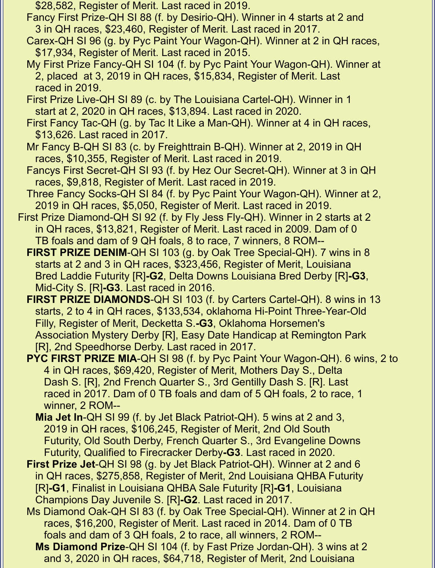- \$28,582, Register of Merit. Last raced in 2019.
- Fancy First Prize-QH SI 88 (f. by Desirio-QH). Winner in 4 starts at 2 and 3 in QH races, \$23,460, Register of Merit. Last raced in 2017.
- Carex-QH SI 96 (g. by Pyc Paint Your Wagon-QH). Winner at 2 in QH races, \$17,934, Register of Merit. Last raced in 2015.
- My First Prize Fancy-QH SI 104 (f. by Pyc Paint Your Wagon-QH). Winner at 2, placed at 3, 2019 in QH races, \$15,834, Register of Merit. Last raced in 2019.
- First Prize Live-QH SI 89 (c. by The Louisiana Cartel-QH). Winner in 1 start at 2, 2020 in QH races, \$13,894. Last raced in 2020.
- First Fancy Tac-QH (g. by Tac It Like a Man-QH). Winner at 4 in QH races, \$13,626. Last raced in 2017.
- Mr Fancy B-QH SI 83 (c. by Freighttrain B-QH). Winner at 2, 2019 in QH races, \$10,355, Register of Merit. Last raced in 2019.
- Fancys First Secret-QH SI 93 (f. by Hez Our Secret-QH). Winner at 3 in QH races, \$9,818, Register of Merit. Last raced in 2019.
- Three Fancy Socks-QH SI 84 (f. by Pyc Paint Your Wagon-QH). Winner at 2, 2019 in QH races, \$5,050, Register of Merit. Last raced in 2019.
- First Prize Diamond-QH SI 92 (f. by Fly Jess Fly-QH). Winner in 2 starts at 2 in QH races, \$13,821, Register of Merit. Last raced in 2009. Dam of 0 TB foals and dam of 9 QH foals, 8 to race, 7 winners, 8 ROM--
	- **FIRST PRIZE DENIM-QH SI 103 (g. by Oak Tree Special-QH). 7 wins in 8**  starts at 2 and 3 in QH races, \$323,456, Register of Merit, Louisiana Bred Laddie Futurity [R]**-G2**, Delta Downs Louisiana Bred Derby [R]**-G3**, Mid-City S. [R]**-G3**. Last raced in 2016.
	- **FIRST PRIZE DIAMONDS**-QH SI 103 (f. by Carters Cartel-QH). 8 wins in 13 starts, 2 to 4 in QH races, \$133,534, oklahoma Hi-Point Three-Year-Old Filly, Register of Merit, Decketta S.**-G3**, Oklahoma Horsemen's Association Mystery Derby [R], Easy Date Handicap at Remington Park [R], 2nd Speedhorse Derby. Last raced in 2017.
	- **PYC FIRST PRIZE MIA**-QH SI 98 (f. by Pyc Paint Your Wagon-QH). 6 wins, 2 to 4 in QH races, \$69,420, Register of Merit, Mothers Day S., Delta Dash S. [R], 2nd French Quarter S., 3rd Gentilly Dash S. [R]. Last raced in 2017. Dam of 0 TB foals and dam of 5 QH foals, 2 to race, 1 winner, 2 ROM--
		- **Mia Jet In**-QH SI 99 (f. by Jet Black Patriot-QH). 5 wins at 2 and 3, 2019 in QH races, \$106,245, Register of Merit, 2nd Old South Futurity, Old South Derby, French Quarter S., 3rd Evangeline Downs Futurity, Qualified to Firecracker Derby**-G3**. Last raced in 2020.
	- **First Prize Jet**-QH SI 98 (g. by Jet Black Patriot-QH). Winner at 2 and 6 in QH races, \$275,858, Register of Merit, 2nd Louisiana QHBA Futurity [R]**-G1**, Finalist in Louisiana QHBA Sale Futurity [R]**-G1**, Louisiana Champions Day Juvenile S. [R]**-G2**. Last raced in 2017.
	- Ms Diamond Oak-QH SI 83 (f. by Oak Tree Special-QH). Winner at 2 in QH races, \$16,200, Register of Merit. Last raced in 2014. Dam of 0 TB foals and dam of 3 QH foals, 2 to race, all winners, 2 ROM--
		- **Ms Diamond Prize**-QH SI 104 (f. by Fast Prize Jordan-QH). 3 wins at 2 and 3, 2020 in QH races, \$64,718, Register of Merit, 2nd Louisiana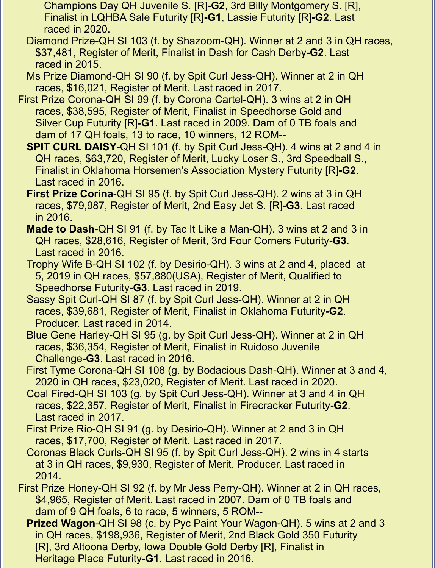- Champions Day QH Juvenile S. [R]**-G2**, 3rd Billy Montgomery S. [R], Finalist in LQHBA Sale Futurity [R]**-G1**, Lassie Futurity [R]**-G2**. Last raced in 2020.
- Diamond Prize-QH SI 103 (f. by Shazoom-QH). Winner at 2 and 3 in QH races, \$37,481, Register of Merit, Finalist in Dash for Cash Derby**-G2**. Last raced in 2015.
- Ms Prize Diamond-QH SI 90 (f. by Spit Curl Jess-QH). Winner at 2 in QH races, \$16,021, Register of Merit. Last raced in 2017.
- First Prize Corona-QH SI 99 (f. by Corona Cartel-QH). 3 wins at 2 in QH races, \$38,595, Register of Merit, Finalist in Speedhorse Gold and Silver Cup Futurity [R]**-G1**. Last raced in 2009. Dam of 0 TB foals and dam of 17 QH foals, 13 to race, 10 winners, 12 ROM--
	- **SPIT CURL DAISY**-QH SI 101 (f. by Spit Curl Jess-QH). 4 wins at 2 and 4 in QH races, \$63,720, Register of Merit, Lucky Loser S., 3rd Speedball S., Finalist in Oklahoma Horsemen's Association Mystery Futurity [R]**-G2**. Last raced in 2016.
	- **First Prize Corina**-QH SI 95 (f. by Spit Curl Jess-QH). 2 wins at 3 in QH races, \$79,987, Register of Merit, 2nd Easy Jet S. [R]**-G3**. Last raced in 2016.
	- **Made to Dash**-QH SI 91 (f. by Tac It Like a Man-QH). 3 wins at 2 and 3 in QH races, \$28,616, Register of Merit, 3rd Four Corners Futurity**-G3**. Last raced in 2016.
	- Trophy Wife B-QH SI 102 (f. by Desirio-QH). 3 wins at 2 and 4, placed at 5, 2019 in QH races, \$57,880(USA), Register of Merit, Qualified to Speedhorse Futurity**-G3**. Last raced in 2019.
	- Sassy Spit Curl-QH SI 87 (f. by Spit Curl Jess-QH). Winner at 2 in QH races, \$39,681, Register of Merit, Finalist in Oklahoma Futurity**-G2**. Producer. Last raced in 2014.
	- Blue Gene Harley-QH SI 95 (g. by Spit Curl Jess-QH). Winner at 2 in QH races, \$36,354, Register of Merit, Finalist in Ruidoso Juvenile Challenge**-G3**. Last raced in 2016.
	- First Tyme Corona-QH SI 108 (g. by Bodacious Dash-QH). Winner at 3 and 4, 2020 in QH races, \$23,020, Register of Merit. Last raced in 2020.
	- Coal Fired-QH SI 103 (g. by Spit Curl Jess-QH). Winner at 3 and 4 in QH races, \$22,357, Register of Merit, Finalist in Firecracker Futurity**-G2**. Last raced in 2017.
	- First Prize Rio-QH SI 91 (g. by Desirio-QH). Winner at 2 and 3 in QH races, \$17,700, Register of Merit. Last raced in 2017.
	- Coronas Black Curls-QH SI 95 (f. by Spit Curl Jess-QH). 2 wins in 4 starts at 3 in QH races, \$9,930, Register of Merit. Producer. Last raced in 2014.
- First Prize Honey-QH SI 92 (f. by Mr Jess Perry-QH). Winner at 2 in QH races, \$4,965, Register of Merit. Last raced in 2007. Dam of 0 TB foals and dam of 9 QH foals, 6 to race, 5 winners, 5 ROM--
	- **Prized Wagon**-QH SI 98 (c. by Pyc Paint Your Wagon-QH). 5 wins at 2 and 3 in QH races, \$198,936, Register of Merit, 2nd Black Gold 350 Futurity [R], 3rd Altoona Derby, Iowa Double Gold Derby [R], Finalist in Heritage Place Futurity**-G1**. Last raced in 2016.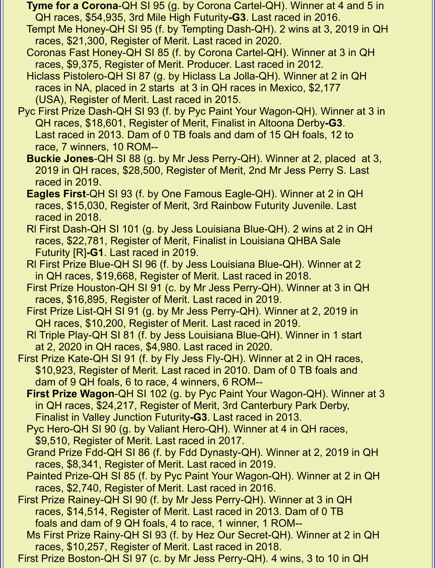- **Tyme for a Corona**-QH SI 95 (g. by Corona Cartel-QH). Winner at 4 and 5 in QH races, \$54,935, 3rd Mile High Futurity**-G3**. Last raced in 2016.
- Tempt Me Honey-QH SI 95 (f. by Tempting Dash-QH). 2 wins at 3, 2019 in QH races, \$21,300, Register of Merit. Last raced in 2020.
- Coronas Fast Honey-QH SI 85 (f. by Corona Cartel-QH). Winner at 3 in QH races, \$9,375, Register of Merit. Producer. Last raced in 2012.
- Hiclass Pistolero-QH SI 87 (g. by Hiclass La Jolla-QH). Winner at 2 in QH races in NA, placed in 2 starts at 3 in QH races in Mexico, \$2,177 (USA), Register of Merit. Last raced in 2015.
- Pyc First Prize Dash-QH SI 93 (f. by Pyc Paint Your Wagon-QH). Winner at 3 in QH races, \$18,601, Register of Merit, Finalist in Altoona Derby**-G3**. Last raced in 2013. Dam of 0 TB foals and dam of 15 QH foals, 12 to race, 7 winners, 10 ROM--
	- **Buckie Jones**-QH SI 88 (g. by Mr Jess Perry-QH). Winner at 2, placed at 3, 2019 in QH races, \$28,500, Register of Merit, 2nd Mr Jess Perry S. Last raced in 2019.
	- **Eagles First**-QH SI 93 (f. by One Famous Eagle-QH). Winner at 2 in QH races, \$15,030, Register of Merit, 3rd Rainbow Futurity Juvenile. Last raced in 2018.
	- Rl First Dash-QH SI 101 (g. by Jess Louisiana Blue-QH). 2 wins at 2 in QH races, \$22,781, Register of Merit, Finalist in Louisiana QHBA Sale Futurity [R]**-G1**. Last raced in 2019.
	- Rl First Prize Blue-QH SI 96 (f. by Jess Louisiana Blue-QH). Winner at 2 in QH races, \$19,668, Register of Merit. Last raced in 2018.
	- First Prize Houston-QH SI 91 (c. by Mr Jess Perry-QH). Winner at 3 in QH races, \$16,895, Register of Merit. Last raced in 2019.
	- First Prize List-QH SI 91 (g. by Mr Jess Perry-QH). Winner at 2, 2019 in QH races, \$10,200, Register of Merit. Last raced in 2019.
	- Rl Triple Play-QH SI 81 (f. by Jess Louisiana Blue-QH). Winner in 1 start at 2, 2020 in QH races, \$4,980. Last raced in 2020.
- First Prize Kate-QH SI 91 (f. by Fly Jess Fly-QH). Winner at 2 in QH races, \$10,923, Register of Merit. Last raced in 2010. Dam of 0 TB foals and dam of 9 QH foals, 6 to race, 4 winners, 6 ROM--
	- **First Prize Wagon**-QH SI 102 (g. by Pyc Paint Your Wagon-QH). Winner at 3 in QH races, \$24,217, Register of Merit, 3rd Canterbury Park Derby, Finalist in Valley Junction Futurity**-G3**. Last raced in 2013.
	- Pyc Hero-QH SI 90 (g. by Valiant Hero-QH). Winner at 4 in QH races, \$9,510, Register of Merit. Last raced in 2017.
	- Grand Prize Fdd-QH SI 86 (f. by Fdd Dynasty-QH). Winner at 2, 2019 in QH races, \$8,341, Register of Merit. Last raced in 2019.
	- Painted Prize-QH SI 85 (f. by Pyc Paint Your Wagon-QH). Winner at 2 in QH races, \$2,740, Register of Merit. Last raced in 2016.
- First Prize Rainey-QH SI 90 (f. by Mr Jess Perry-QH). Winner at 3 in QH races, \$14,514, Register of Merit. Last raced in 2013. Dam of 0 TB foals and dam of 9 QH foals, 4 to race, 1 winner, 1 ROM--
	- Ms First Prize Rainy-QH SI 93 (f. by Hez Our Secret-QH). Winner at 2 in QH races, \$10,257, Register of Merit. Last raced in 2018.
- First Prize Boston-QH SI 97 (c. by Mr Jess Perry-QH). 4 wins, 3 to 10 in QH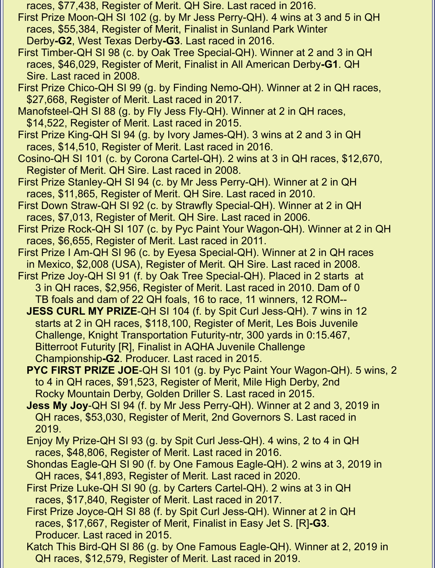races, \$77,438, Register of Merit. QH Sire. Last raced in 2016.

- First Prize Moon-QH SI 102 (g. by Mr Jess Perry-QH). 4 wins at 3 and 5 in QH races, \$55,384, Register of Merit, Finalist in Sunland Park Winter Derby**-G2**, West Texas Derby**-G3**. Last raced in 2016.
- First Timber-QH SI 98 (c. by Oak Tree Special-QH). Winner at 2 and 3 in QH races, \$46,029, Register of Merit, Finalist in All American Derby**-G1**. QH Sire. Last raced in 2008.
- First Prize Chico-QH SI 99 (g. by Finding Nemo-QH). Winner at 2 in QH races, \$27,668, Register of Merit. Last raced in 2017.
- Manofsteel-QH SI 88 (g. by Fly Jess Fly-QH). Winner at 2 in QH races, \$14,522, Register of Merit. Last raced in 2015.
- First Prize King-QH SI 94 (g. by Ivory James-QH). 3 wins at 2 and 3 in QH races, \$14,510, Register of Merit. Last raced in 2016.
- Cosino-QH SI 101 (c. by Corona Cartel-QH). 2 wins at 3 in QH races, \$12,670, Register of Merit. QH Sire. Last raced in 2008.
- First Prize Stanley-QH SI 94 (c. by Mr Jess Perry-QH). Winner at 2 in QH races, \$11,865, Register of Merit. QH Sire. Last raced in 2010.
- First Down Straw-QH SI 92 (c. by Strawfly Special-QH). Winner at 2 in QH races, \$7,013, Register of Merit. QH Sire. Last raced in 2006.
- First Prize Rock-QH SI 107 (c. by Pyc Paint Your Wagon-QH). Winner at 2 in QH races, \$6,655, Register of Merit. Last raced in 2011.
- First Prize I Am-QH SI 96 (c. by Eyesa Special-QH). Winner at 2 in QH races in Mexico, \$2,008 (USA), Register of Merit. QH Sire. Last raced in 2008.
- First Prize Joy-QH SI 91 (f. by Oak Tree Special-QH). Placed in 2 starts at 3 in QH races, \$2,956, Register of Merit. Last raced in 2010. Dam of 0 TB foals and dam of 22 QH foals, 16 to race, 11 winners, 12 ROM--
	- **JESS CURL MY PRIZE**-QH SI 104 (f. by Spit Curl Jess-QH). 7 wins in 12 starts at 2 in QH races, \$118,100, Register of Merit, Les Bois Juvenile Challenge, Knight Transportation Futurity-ntr, 300 yards in 0:15.467, Bitterroot Futurity [R], Finalist in AQHA Juvenile Challenge Championship**-G2**. Producer. Last raced in 2015.
	- **PYC FIRST PRIZE JOE**-QH SI 101 (g. by Pyc Paint Your Wagon-QH). 5 wins, 2 to 4 in QH races, \$91,523, Register of Merit, Mile High Derby, 2nd Rocky Mountain Derby, Golden Driller S. Last raced in 2015.
	- **Jess My Joy**-QH SI 94 (f. by Mr Jess Perry-QH). Winner at 2 and 3, 2019 in QH races, \$53,030, Register of Merit, 2nd Governors S. Last raced in 2019.
	- Enjoy My Prize-QH SI 93 (g. by Spit Curl Jess-QH). 4 wins, 2 to 4 in QH races, \$48,806, Register of Merit. Last raced in 2016.
	- Shondas Eagle-QH SI 90 (f. by One Famous Eagle-QH). 2 wins at 3, 2019 in QH races, \$41,893, Register of Merit. Last raced in 2020.
	- First Prize Luke-QH SI 90 (g. by Carters Cartel-QH). 2 wins at 3 in QH races, \$17,840, Register of Merit. Last raced in 2017.
	- First Prize Joyce-QH SI 88 (f. by Spit Curl Jess-QH). Winner at 2 in QH races, \$17,667, Register of Merit, Finalist in Easy Jet S. [R]**-G3**. Producer. Last raced in 2015.
	- Katch This Bird-QH SI 86 (g. by One Famous Eagle-QH). Winner at 2, 2019 in QH races, \$12,579, Register of Merit. Last raced in 2019.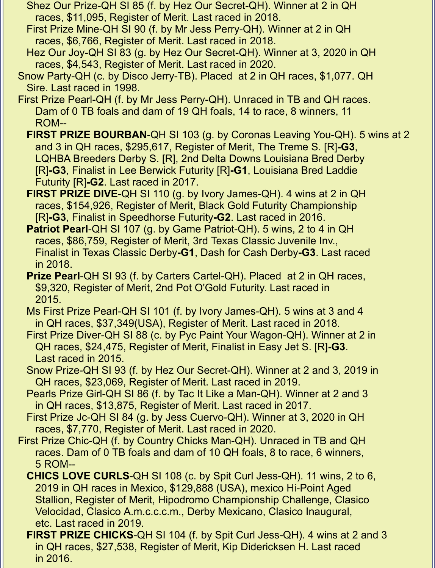- Shez Our Prize-QH SI 85 (f. by Hez Our Secret-QH). Winner at 2 in QH races, \$11,095, Register of Merit. Last raced in 2018.
- First Prize Mine-QH SI 90 (f. by Mr Jess Perry-QH). Winner at 2 in QH races, \$6,766, Register of Merit. Last raced in 2018.
- Hez Our Joy-QH SI 83 (g. by Hez Our Secret-QH). Winner at 3, 2020 in QH races, \$4,543, Register of Merit. Last raced in 2020.
- Snow Party-QH (c. by Disco Jerry-TB). Placed at 2 in QH races, \$1,077. QH Sire. Last raced in 1998.
- First Prize Pearl-QH (f. by Mr Jess Perry-QH). Unraced in TB and QH races. Dam of 0 TB foals and dam of 19 QH foals, 14 to race, 8 winners, 11 ROM--
	- **FIRST PRIZE BOURBAN-QH SI 103 (g. by Coronas Leaving You-QH). 5 wins at 2**  and 3 in QH races, \$295,617, Register of Merit, The Treme S. [R]**-G3**, LQHBA Breeders Derby S. [R], 2nd Delta Downs Louisiana Bred Derby [R]**-G3**, Finalist in Lee Berwick Futurity [R]**-G1**, Louisiana Bred Laddie Futurity [R]**-G2**. Last raced in 2017.
	- **FIRST PRIZE DIVE-QH SI 110 (g. by Ivory James-QH). 4 wins at 2 in QH**  races, \$154,926, Register of Merit, Black Gold Futurity Championship [R]**-G3**, Finalist in Speedhorse Futurity**-G2**. Last raced in 2016.
	- **Patriot Pearl**-QH SI 107 (g. by Game Patriot-QH). 5 wins, 2 to 4 in QH races, \$86,759, Register of Merit, 3rd Texas Classic Juvenile Inv., Finalist in Texas Classic Derby**-G1**, Dash for Cash Derby**-G3**. Last raced in 2018.
	- **Prize Pearl**-QH SI 93 (f. by Carters Cartel-QH). Placed at 2 in QH races, \$9,320, Register of Merit, 2nd Pot O'Gold Futurity. Last raced in 2015.
	- Ms First Prize Pearl-QH SI 101 (f. by Ivory James-QH). 5 wins at 3 and 4 in QH races, \$37,349(USA), Register of Merit. Last raced in 2018.
	- First Prize Diver-QH SI 88 (c. by Pyc Paint Your Wagon-QH). Winner at 2 in QH races, \$24,475, Register of Merit, Finalist in Easy Jet S. [R]**-G3**. Last raced in 2015.
	- Snow Prize-QH SI 93 (f. by Hez Our Secret-QH). Winner at 2 and 3, 2019 in QH races, \$23,069, Register of Merit. Last raced in 2019.
	- Pearls Prize Girl-QH SI 86 (f. by Tac It Like a Man-QH). Winner at 2 and 3 in QH races, \$13,875, Register of Merit. Last raced in 2017.
	- First Prize Jc-QH SI 84 (g. by Jess Cuervo-QH). Winner at 3, 2020 in QH races, \$7,770, Register of Merit. Last raced in 2020.
- First Prize Chic-QH (f. by Country Chicks Man-QH). Unraced in TB and QH races. Dam of 0 TB foals and dam of 10 QH foals, 8 to race, 6 winners, 5 ROM--
	- **CHICS LOVE CURLS**-QH SI 108 (c. by Spit Curl Jess-QH). 11 wins, 2 to 6, 2019 in QH races in Mexico, \$129,888 (USA), mexico Hi-Point Aged Stallion, Register of Merit, Hipodromo Championship Challenge, Clasico Velocidad, Clasico A.m.c.c.c.m., Derby Mexicano, Clasico Inaugural, etc. Last raced in 2019.
	- **FIRST PRIZE CHICKS-QH SI 104 (f. by Spit Curl Jess-QH). 4 wins at 2 and 3**  in QH races, \$27,538, Register of Merit, Kip Didericksen H. Last raced in 2016.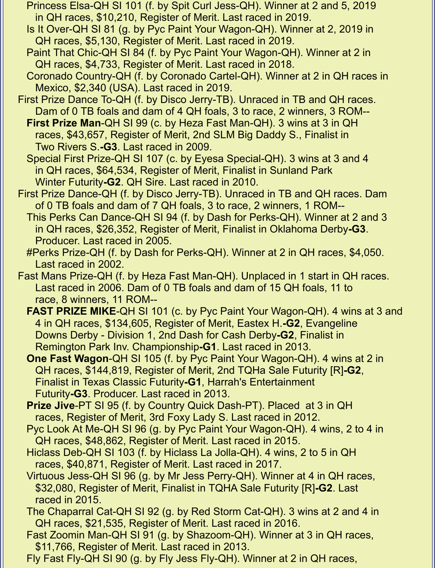- Princess Elsa-QH SI 101 (f. by Spit Curl Jess-QH). Winner at 2 and 5, 2019 in QH races, \$10,210, Register of Merit. Last raced in 2019.
- Is It Over-QH SI 81 (g. by Pyc Paint Your Wagon-QH). Winner at 2, 2019 in QH races, \$5,130, Register of Merit. Last raced in 2019.
- Paint That Chic-QH SI 84 (f. by Pyc Paint Your Wagon-QH). Winner at 2 in QH races, \$4,733, Register of Merit. Last raced in 2018.
- Coronado Country-QH (f. by Coronado Cartel-QH). Winner at 2 in QH races in Mexico, \$2,340 (USA). Last raced in 2019.
- First Prize Dance To-QH (f. by Disco Jerry-TB). Unraced in TB and QH races. Dam of 0 TB foals and dam of 4 QH foals, 3 to race, 2 winners, 3 ROM--
	- **First Prize Man**-QH SI 99 (c. by Heza Fast Man-QH). 3 wins at 3 in QH races, \$43,657, Register of Merit, 2nd SLM Big Daddy S., Finalist in Two Rivers S.**-G3**. Last raced in 2009.
	- Special First Prize-QH SI 107 (c. by Eyesa Special-QH). 3 wins at 3 and 4 in QH races, \$64,534, Register of Merit, Finalist in Sunland Park Winter Futurity**-G2**. QH Sire. Last raced in 2010.
- First Prize Dance-QH (f. by Disco Jerry-TB). Unraced in TB and QH races. Dam of 0 TB foals and dam of 7 QH foals, 3 to race, 2 winners, 1 ROM--
	- This Perks Can Dance-QH SI 94 (f. by Dash for Perks-QH). Winner at 2 and 3 in QH races, \$26,352, Register of Merit, Finalist in Oklahoma Derby**-G3**. Producer. Last raced in 2005.
	- #Perks Prize-QH (f. by Dash for Perks-QH). Winner at 2 in QH races, \$4,050. Last raced in 2002.
- Fast Mans Prize-QH (f. by Heza Fast Man-QH). Unplaced in 1 start in QH races. Last raced in 2006. Dam of 0 TB foals and dam of 15 QH foals, 11 to race, 8 winners, 11 ROM--
	- **FAST PRIZE MIKE-QH SI 101 (c. by Pyc Paint Your Wagon-QH). 4 wins at 3 and**  4 in QH races, \$134,605, Register of Merit, Eastex H.**-G2**, Evangeline Downs Derby - Division 1, 2nd Dash for Cash Derby**-G2**, Finalist in Remington Park Inv. Championship**-G1**. Last raced in 2013.
	- **One Fast Wagon**-QH SI 105 (f. by Pyc Paint Your Wagon-QH). 4 wins at 2 in QH races, \$144,819, Register of Merit, 2nd TQHa Sale Futurity [R]**-G2**, Finalist in Texas Classic Futurity**-G1**, Harrah's Entertainment Futurity**-G3**. Producer. Last raced in 2013.
	- **Prize Jive-PT SI 95 (f. by Country Quick Dash-PT). Placed at 3 in QH** races, Register of Merit, 3rd Foxy Lady S. Last raced in 2012.
	- Pyc Look At Me-QH SI 96 (g. by Pyc Paint Your Wagon-QH). 4 wins, 2 to 4 in QH races, \$48,862, Register of Merit. Last raced in 2015.
	- Hiclass Deb-QH SI 103 (f. by Hiclass La Jolla-QH). 4 wins, 2 to 5 in QH races, \$40,871, Register of Merit. Last raced in 2017.
	- Virtuous Jess-QH SI 96 (g. by Mr Jess Perry-QH). Winner at 4 in QH races, \$32,080, Register of Merit, Finalist in TQHA Sale Futurity [R]**-G2**. Last raced in 2015.
	- The Chaparral Cat-QH SI 92 (g. by Red Storm Cat-QH). 3 wins at 2 and 4 in QH races, \$21,535, Register of Merit. Last raced in 2016.
	- Fast Zoomin Man-QH SI 91 (g. by Shazoom-QH). Winner at 3 in QH races, \$11,766, Register of Merit. Last raced in 2013.
	- Fly Fast Fly-QH SI 90 (g. by Fly Jess Fly-QH). Winner at 2 in QH races,